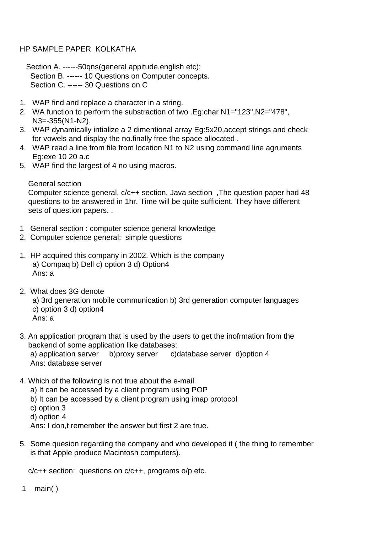## HP SAMPLE PAPER KOLKATHA

 Section A. ------50qns(general appitude,english etc): Section B. ------ 10 Questions on Computer concepts. Section C. ------ 30 Questions on C

- 1. WAP find and replace a character in a string.
- 2. WA function to perform the substraction of two .Eg:char N1="123",N2="478", N3=-355(N1-N2).
- 3. WAP dynamically intialize a 2 dimentional array Eg:5x20,accept strings and check for vowels and display the no.finally free the space allocated .
- 4. WAP read a line from file from location N1 to N2 using command line agruments Eg:exe 10 20 a.c
- 5. WAP find the largest of 4 no using macros.

General section

 Computer science general, c/c++ section, Java section ,The question paper had 48 questions to be answered in 1hr. Time will be quite sufficient. They have different sets of question papers. .

- 1 General section : computer science general knowledge
- 2. Computer science general: simple questions
- 1. HP acquired this company in 2002. Which is the company a) Compaq b) Dell c) option 3 d) Option4 Ans: a
- 2. What does 3G denote

 a) 3rd generation mobile communication b) 3rd generation computer languages c) option 3 d) option4

- Ans: a
- 3. An application program that is used by the users to get the inofrmation from the backend of some application like databases: a) application server b)proxy server c)database server d)option 4 Ans: database server
- 4. Which of the following is not true about the e-mail
	- a) It can be accessed by a client program using POP
	- b) It can be accessed by a client program using imap protocol
	- c) option 3
	- d) option 4

Ans: I don,t remember the answer but first 2 are true.

5. Some quesion regarding the company and who developed it ( the thing to remember is that Apple produce Macintosh computers).

c/c++ section: questions on c/c++, programs o/p etc.

1 main( )